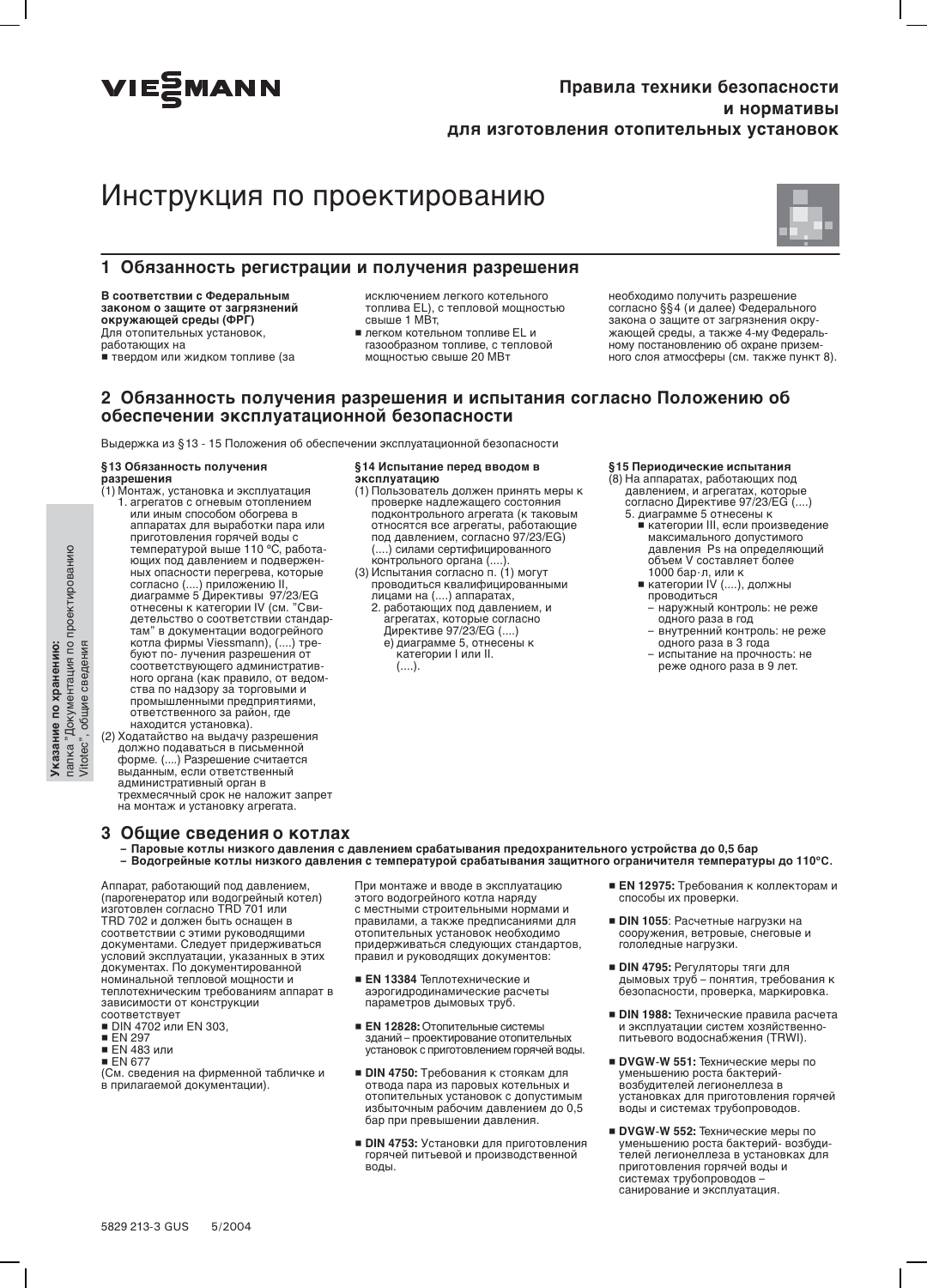

# Правила техники безопасности и нормативы для изготовления отопительных установок

# Инструкция по проектированию



### 1 Обязанность регистрации и получения разрешения

В соответствии с Федеральным законом о защите от загрязнений окружающей среды (ФРГ) Для отопительных установок, работающих на .<br>■ твердом или жидком топливе (за

исключением легкого котельного топлива EL), с тепловой мощностью свыше 1 МВт,

■ легком котельном топливе EL и газообразном топливе, с тепловой мощностью свыше 20 МВт

необходимо получить разрешение согласно §§4 (и далее) Федерального закона о защите от загрязнения окружающей среды, а также 4-му Федеральному постановлению об охране приземного слоя атмосферы (см. также пункт 8).

### 2 Обязанность получения разрешения и испытания согласно Положению об обеспечении эксплуатационной безопасности

Выдержка из §13 - 15 Положения об обеспечении эксплуатационной безопасности

#### §13 Обязанность получения разрешения

- (1) Монтаж, установка и эксплуатация<br>1. агрегатов с огневым отоплением или иным способом обогрева в аппаратах для выработки пара или<br>приготовления горячей воды с температурой выше 110 °С, работающих под давлением и подверженющих пладыением и подвержением<br>ных опасности перегред, которые<br>согласно (....) приложению II,<br>диаграмме 5 Директивы 97/23/EG<br>отнесены к категории IV (см. "Сви-<br>детельство о соответствии стандар-<br>там" в документации водогр котла фирмы Viessmann), (....) требуют по- лучения разрешения от<br>соответствующего административного органа (как правило, от ведомпото органа (нап. правило, от видо<br>ства по надзору за торговыми и ответственного за район, где находится установка).
- (2) Ходатайство на выдачу разрешения должно подаваться в письменной<br>форме. (....) Разрешение считается выданным, если ответственный административный орган в<br>трехмесячный срок не наложит запрет на монтаж и установку агрегата.

#### §14 Испытание перед вводом в эксплуатацию

- (1) Пользователь должен принять меры к проверке надлежащего состояния подконтрольного агрегата (к таковым относятся все агрегаты, работающие<br>под давлением, согласно 97/23/EG) (....) силами сертифицированного
- (....) облави ображдарся ..........<br>контрольного органа (....).<br>(3) Испытания согласно п. (1) могут проводиться квалифицированными лицами на (....) аппаратах, 2. работающих под давлением, и
	- агрегатах, которые согласно<br>Директиве 97/23/EG (....) е) диаграмме 5, отнесены к категории I или II.  $($ ....).

#### §15 Периодические испытания

- (8) На аппаратах, работающих под давлением, и агрегатах, которые<br>согласно Директиве 97/23/EG (....) 5. диаграмме 5 отнесены к
	- категории III, если произведение<br>■ категории III, если произведение давления Ps на определяющий давлении и е на спределии<br>объем V составляет более<br>1000 бар·л, или к
	- категории IV (....), должны проводиться
	- наружный контроль: не реже одного раза в год<br>внутренний контроль: не реже
	- одного раза в 3 года
	- испытание на прочность: не реже одного раза в 9 лет.

- 3 Общие сведения о котлах
	- Паровые котлы низкого давления с давлением срабатывания предохранительного устройства до 0,5 бар
	- Водогрейные котлы низкого давления с температурой срабатывания защитного ограничителя температуры до 110°С.

Аппарат. работающий под давлением итарат, расотающий под давлением,<br>(парогенератор или водогрейный котел)<br>изготовлен согласно TRD 701 или ТRD 702 и должен быть оснащен в<br>соответствии с этими руководящими<br>документами. Следует придерживаться условий эксплуатации, указанных в этих документах. По документированной<br>номинальной тепловой мощности и теплотехническим требованиям аппарат в зависимости от конструкции соответствует

- DIN 4702 или EN 303,
- **EN 297**
- EN 483 или
- $E$  EN 677

. . . . . . . .<br>(См. сведения на фирменной табличке и в прилагаемой документации).

При монтаже и вводе в эксплуатацию этого водогрейного котла наряду с местными строительными нормами и правилами, а также предписаниями для отопительных установок необходимо<br>придерживаться следующих стандартов, правил и руководящих документов:

- **EN 13384 Теплотехнические и** аэрогидродинамические расчеты параметров дымовых труб.
- EN 12828: Отопительные системы зданий - проектирование отопительных установок с приготовлением горячей воды.
- DIN 4750: Требования к стоякам для отвода пара из паровых котельных и отопительных установок с допустимым<br>избыточным рабочим давлением до 0,5 бар при превышении давления
- DIN 4753: Установки для приготовления горячей питьевой и производственной воды.
- EN 12975: Требования к коллекторам и способы их проверки
- DIN 1055: Расчетные нагрузки на сооружения, ветровые, снеговые и гололедные нагрузки.
- DIN 4795: Регуляторы тяги для<br>дымовых труб понятия, требования к<br>безопасности, проверка, маркировка.
- DIN 1988: Технические правила расчета и эксплуатации систем хозяйственнопитьевого водоснабжения (TRWI).
- DVGW-W 551: Технические меры по уменьшению роста бактерийвозбудителей легионеллеза в
- DVGW-W 552: Технические меры по<br>уменьшению роста бактерий- возбуди-<br>телей легионеллеза в установках для приготовления горячей воды и системах трубопроводов санирование и эксплуатация.

папка "Документация по проектированию<br>Vitotec", общие сведения Указание по хранению: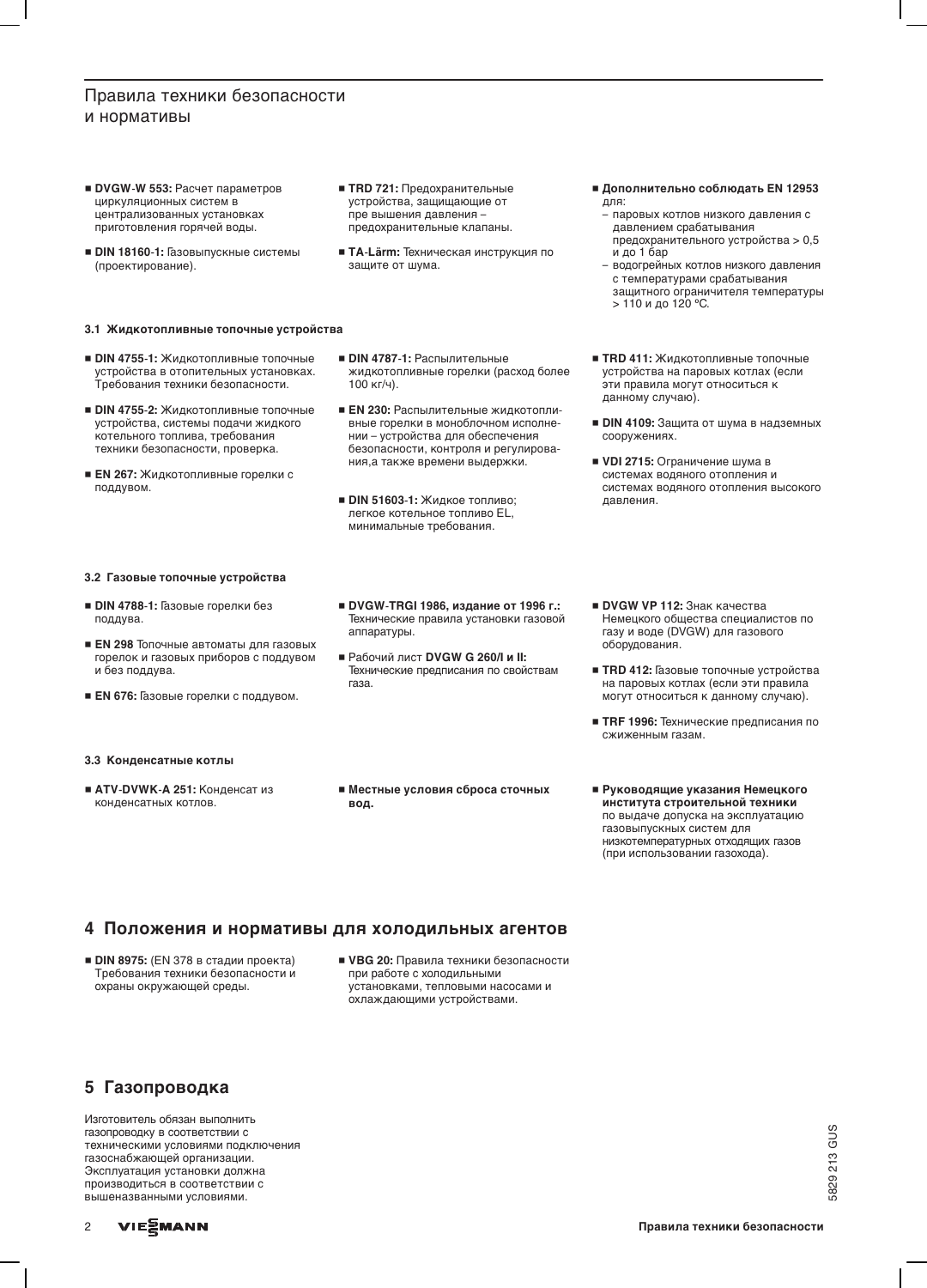# Правила техники безопасности и нормативы

- DVGW-W 553: Расчет параметров циркуляционных систем в централизованных установках приготовления горячей воды.
- DIN 18160-1: Газовыпускные системы (проектирование).

#### 3.1 Жидкотопливные топочные устройства

- **DIN 4755-1: Жидкотопливные топочные** устройства в отопительных установках. Требования техники безопасности.
- DIN 4755-2: Жидкотопливные топочные устройства, системы подачи жидкого котельного топлива, требования техники безопасности, проверка.
- EN 267: Жидкотопливные горелки с поддувом.

#### 3.2 Газовые топочные устройства

- DIN 4788-1: Газовые горелки без поддува.
- **EN 298 Топочные автоматы для газовых** горелок и газовых приборов с поддувом и без поддува.
- EN 676: Газовые горелки с поддувом.

#### 3.3 Конденсатные котлы

■ ATV-DVWK-А 251: Конденсат из конденсатных котлов.

• TRD 721: Предохранительные устройства, защищающие от пре вышения давления предохранительные клапаны.

 $\blacksquare$  DIN 4787-1: Распылительные

100 кг/ч).

• TA-Lärm: Техническая инструкция по защите от шума.

жидкотопливные горелки (расход более

**EN 230: Распылительные жидкотопли-**

нии - устройства для обеспечения

ния, а также времени выдержки.

**• DIN 51603-1: Жидкое топливо:** 

легкое котельное топливо EL, минимальные требования.

вные горелки в моноблочном исполне-

безопасности, контроля и регулирова-

- Дополнительно соблюдать EN 12953 для:
	- паровых котлов низкого давления с давлением срабатывания предохранительного устройства > 0,5
	- и до 1 бар водогрейных котлов низкого давления с температурами срабатывания защитного ограничителя температуры > 110 и до 120 °С.
- TRD 411: Жидкотопливные топочные устройства на паровых котлах (если эти правила могут относиться к данному случаю).
- DIN 4109: Защита от шума в надземных сооружениях.
- VDI 2715: Ограничение шума в системах водяного отопления и системах водяного отопления высокого давления.
- DVGW-TRGI 1986, издание от 1996 г.: Технические правила установки газовой аппаратуры.
- Рабочий лист DVGW G 260/I и II: Технические предписания по свойствам газа.

■ Местные условия сброса сточных

- DVGW VP 112: Знак качества Немецкого общества специалистов по газу и воде (DVGW) для газового оборудования.
- TRD 412: Газовые топочные устройства на паровых котлах (если эти правила могут относиться к данному случаю).
- TRF 1996: Технические предписания по сжиженным газам.
- Руководящие указания Немецкого института строительной техники по выдаче допуска на эксплуатацию газовыпускных систем для низкотемпературных отходящих газов (при использовании газохода).

### 4 Положения и нормативы для холодильных агентов

вод.

- DIN 8975: (EN 378 в стадии проекта) Требования техники безопасности и охраны окружающей среды.
- VBG 20: Правила техники безопасности при работе с холодильными установками, тепловыми насосами и охлаждающими устройствами.

### 5 Газопроводка

Изготовитель обязан выполнить газопроводку в соответствии с техническими условиями подключения газоснабжающей организации. Эксплуатация установки должна производиться в соответствии с вышеназванными условиями.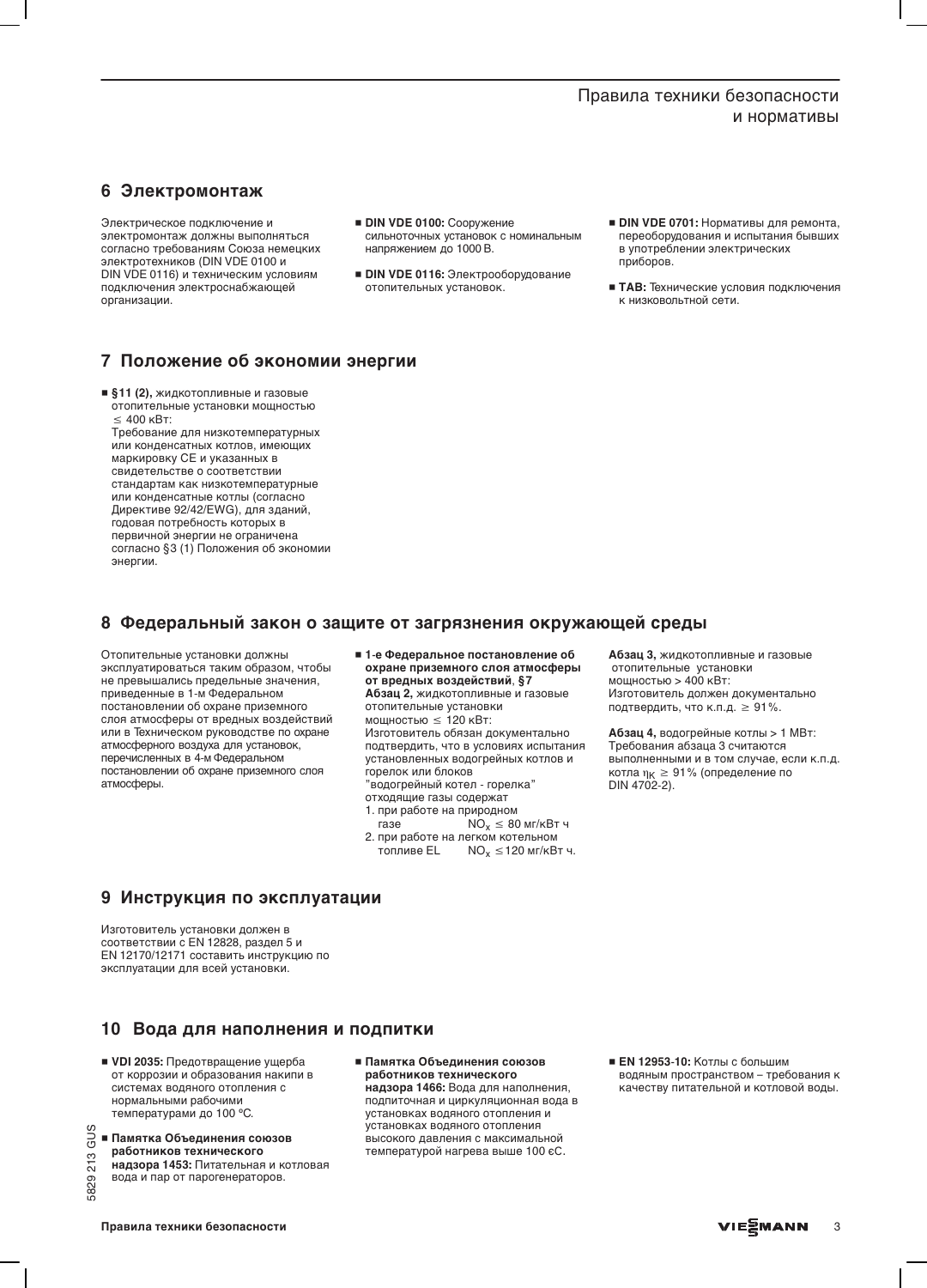# Правила техники безопасности и нормативы

# 6 Электромонтаж

Электрическое подключение и электромонтаж должны выполняться согласно требованиям Союза немецких электротехников (DIN VDE 0100 и DIN VDE 0116) и техническим условиям подключения электроснабжающей организации.

- DIN VDE 0100: Сооружение сильноточных установок с номинальным напряжением до 1000 В.
- DIN VDE 0116: Электрооборудование отопительных установок.
- DIN VDE 0701: Нормативы для ремонта, переоборудования и испытания бывших в употреблении электрических приборов.
- ТАВ: Технические условия подключения к низковольтной сети.

### 7 Положение об экономии энергии

• §11 (2), жидкотопливные и газовые отопительные установки мощностью  $\leq 400$  KBT:

Требование для низкотемпературных или конденсатных котлов, имеющих маркировку СЕ и указанных в свидетельстве о соответствии стандартам как низкотемпературные или конденсатные котлы (согласно Директиве 92/42/EWG), для зданий, годовая потребность которых в первичной энергии не ограничена согласно §3 (1) Положения об экономии энергии.

# 8 Федеральный закон о защите от загрязнения окружающей среды

Отопительные установки должны эксплуатироваться таким образом, чтобы не превышались предельные значения, приведенные в 1-м Федеральном постановлении об охране приземного слоя атмосферы от вредных воздействий или в Техническом руководстве по охране атмосферного воздуха для установок, перечисленных в 4-м Федеральном постановлении об охране приземного слоя атмосферы.

- 1-е Федеральное постановление об охране приземного слоя атмосферы от вредных воздействий, §7 Абзац 2, жидкотопливные и газовые отопительные установки мощностью  $\leq 120$  кВт: Изготовитель обязан документально подтвердить, что в условиях испытания установленных водогрейных котлов и горелок или блоков "водогрейный котел - горелка"
- отходящие газы содержат
- 1. при работе на природном газе
- $NO<sub>x</sub>$  ≤ 80 мг/кВт ч 2. при работе на легком котельном топливе EL  $NO<sub>x</sub> \le 120$  мг/кВт ч.

Абзац 3, жидкотопливные и газовые отопительные установки<br>мощностью > 400 кВт: Изготовитель должен документально подтвердить, что к.п.д. ≥ 91%.

Абзац 4, водогрейные котлы > 1 МВт: Требования абзаца 3 считаются выполненными и в том случае, если к.п.д. котла  $\eta_K \geq 91\%$  (определение по DIN 4702-2).

### 9 Инструкция по эксплуатации

Изготовитель установки должен в соответствии с EN 12828, раздел 5 и EN 12170/12171 составить инструкцию по эксплуатации для всей установки.

### 10 Вода для наполнения и подпитки

- VDI 2035: Предотвращение ущерба от коррозии и образования накипи в системах водяного отопления с нормальными рабочими температурами до 100 °С.
- $\frac{0}{0}$  = Памятка Объединения союзов работников технического

213

5829

надзора 1453: Питательная и котловая вода и пар от парогенераторов.

■ Памятка Объединения союзов работников технического надзора 1466: Вода для наполнения, подпиточная и циркуляционная вода в установках водяного отопления и установках водяного отопления высокого давления с максимальной температурой нагрева выше 100 єС.

■ EN 12953-10: Котлы с большим водяным пространством - требования к качеству питательной и котловой воды.